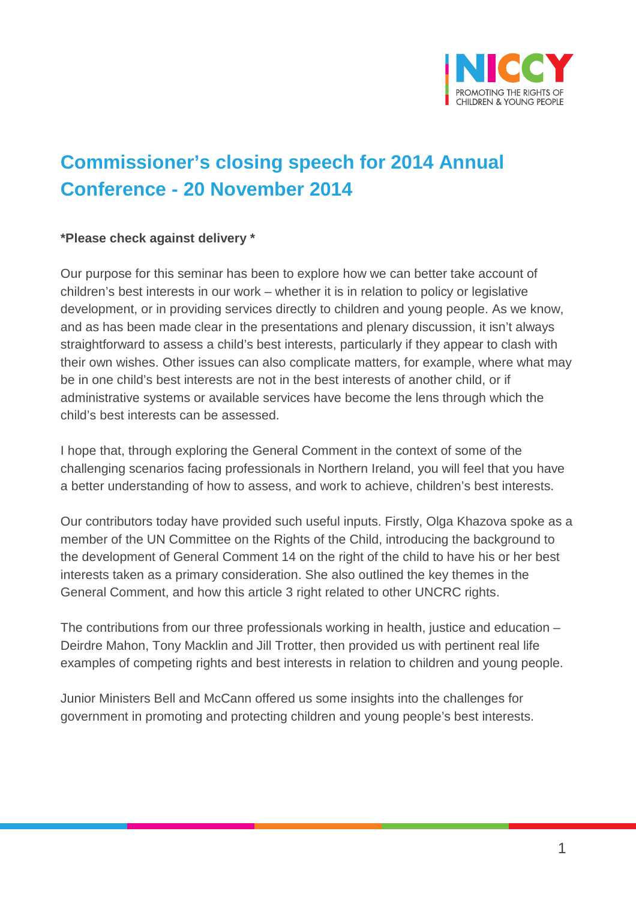

## **Commissioner's closing speech for 2014 Annual Conference - 20 November 2014**

## **\*Please check against delivery \***

Our purpose for this seminar has been to explore how we can better take account of children's best interests in our work – whether it is in relation to policy or legislative development, or in providing services directly to children and young people. As we know, and as has been made clear in the presentations and plenary discussion, it isn't always straightforward to assess a child's best interests, particularly if they appear to clash with their own wishes. Other issues can also complicate matters, for example, where what may be in one child's best interests are not in the best interests of another child, or if administrative systems or available services have become the lens through which the child's best interests can be assessed.

I hope that, through exploring the General Comment in the context of some of the challenging scenarios facing professionals in Northern Ireland, you will feel that you have a better understanding of how to assess, and work to achieve, children's best interests.

Our contributors today have provided such useful inputs. Firstly, Olga Khazova spoke as a member of the UN Committee on the Rights of the Child, introducing the background to the development of General Comment 14 on the right of the child to have his or her best interests taken as a primary consideration. She also outlined the key themes in the General Comment, and how this article 3 right related to other UNCRC rights.

The contributions from our three professionals working in health, justice and education – Deirdre Mahon, Tony Macklin and Jill Trotter, then provided us with pertinent real life examples of competing rights and best interests in relation to children and young people.

Junior Ministers Bell and McCann offered us some insights into the challenges for government in promoting and protecting children and young people's best interests.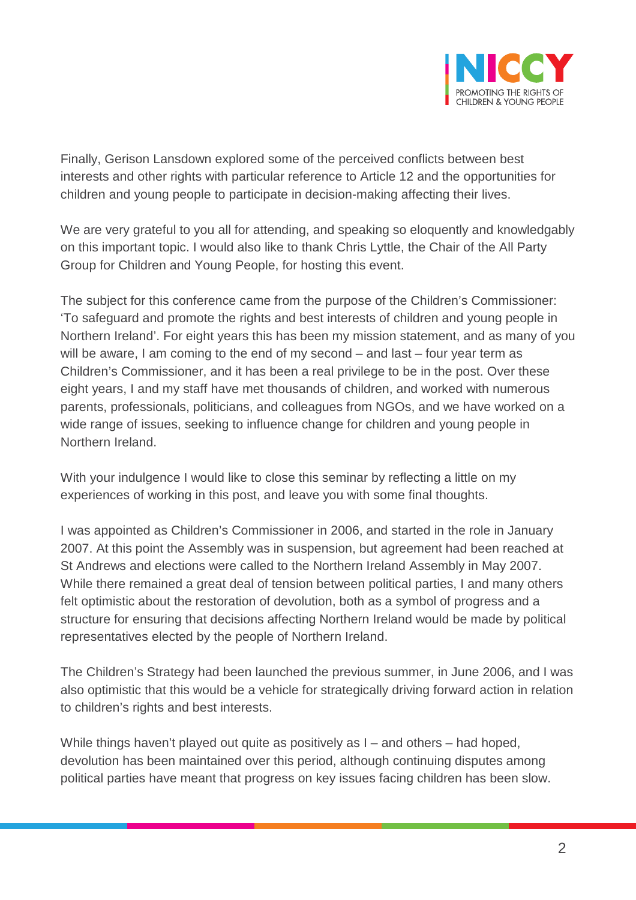

Finally, Gerison Lansdown explored some of the perceived conflicts between best interests and other rights with particular reference to Article 12 and the opportunities for children and young people to participate in decision-making affecting their lives.

We are very grateful to you all for attending, and speaking so eloquently and knowledgably on this important topic. I would also like to thank Chris Lyttle, the Chair of the All Party Group for Children and Young People, for hosting this event.

The subject for this conference came from the purpose of the Children's Commissioner: 'To safeguard and promote the rights and best interests of children and young people in Northern Ireland'. For eight years this has been my mission statement, and as many of you will be aware, I am coming to the end of my second – and last – four year term as Children's Commissioner, and it has been a real privilege to be in the post. Over these eight years, I and my staff have met thousands of children, and worked with numerous parents, professionals, politicians, and colleagues from NGOs, and we have worked on a wide range of issues, seeking to influence change for children and young people in Northern Ireland.

With your indulgence I would like to close this seminar by reflecting a little on my experiences of working in this post, and leave you with some final thoughts.

I was appointed as Children's Commissioner in 2006, and started in the role in January 2007. At this point the Assembly was in suspension, but agreement had been reached at St Andrews and elections were called to the Northern Ireland Assembly in May 2007. While there remained a great deal of tension between political parties, I and many others felt optimistic about the restoration of devolution, both as a symbol of progress and a structure for ensuring that decisions affecting Northern Ireland would be made by political representatives elected by the people of Northern Ireland.

The Children's Strategy had been launched the previous summer, in June 2006, and I was also optimistic that this would be a vehicle for strategically driving forward action in relation to children's rights and best interests.

While things haven't played out quite as positively as I – and others – had hoped, devolution has been maintained over this period, although continuing disputes among political parties have meant that progress on key issues facing children has been slow.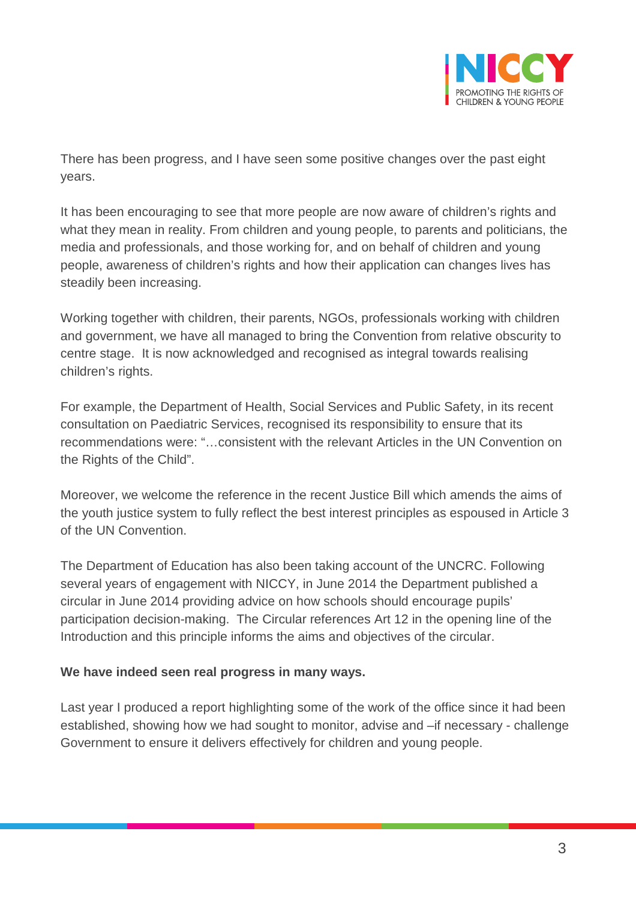

There has been progress, and I have seen some positive changes over the past eight years.

It has been encouraging to see that more people are now aware of children's rights and what they mean in reality. From children and young people, to parents and politicians, the media and professionals, and those working for, and on behalf of children and young people, awareness of children's rights and how their application can changes lives has steadily been increasing.

Working together with children, their parents, NGOs, professionals working with children and government, we have all managed to bring the Convention from relative obscurity to centre stage. It is now acknowledged and recognised as integral towards realising children's rights.

For example, the Department of Health, Social Services and Public Safety, in its recent consultation on Paediatric Services, recognised its responsibility to ensure that its recommendations were: "…consistent with the relevant Articles in the UN Convention on the Rights of the Child".

Moreover, we welcome the reference in the recent Justice Bill which amends the aims of the youth justice system to fully reflect the best interest principles as espoused in Article 3 of the UN Convention.

The Department of Education has also been taking account of the UNCRC. Following several years of engagement with NICCY, in June 2014 the Department published a circular in June 2014 providing advice on how schools should encourage pupils' participation decision-making. The Circular references Art 12 in the opening line of the Introduction and this principle informs the aims and objectives of the circular.

## **We have indeed seen real progress in many ways.**

Last year I produced a report highlighting some of the work of the office since it had been established, showing how we had sought to monitor, advise and –if necessary - challenge Government to ensure it delivers effectively for children and young people.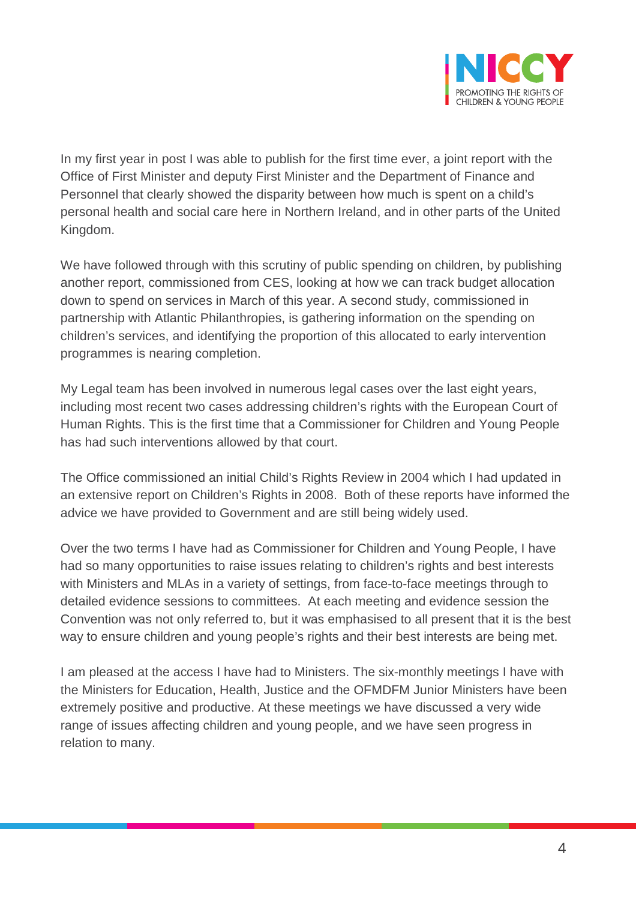

In my first year in post I was able to publish for the first time ever, a joint report with the Office of First Minister and deputy First Minister and the Department of Finance and Personnel that clearly showed the disparity between how much is spent on a child's personal health and social care here in Northern Ireland, and in other parts of the United Kingdom.

We have followed through with this scrutiny of public spending on children, by publishing another report, commissioned from CES, looking at how we can track budget allocation down to spend on services in March of this year. A second study, commissioned in partnership with Atlantic Philanthropies, is gathering information on the spending on children's services, and identifying the proportion of this allocated to early intervention programmes is nearing completion.

My Legal team has been involved in numerous legal cases over the last eight years, including most recent two cases addressing children's rights with the European Court of Human Rights. This is the first time that a Commissioner for Children and Young People has had such interventions allowed by that court.

The Office commissioned an initial Child's Rights Review in 2004 which I had updated in an extensive report on Children's Rights in 2008. Both of these reports have informed the advice we have provided to Government and are still being widely used.

Over the two terms I have had as Commissioner for Children and Young People, I have had so many opportunities to raise issues relating to children's rights and best interests with Ministers and MLAs in a variety of settings, from face-to-face meetings through to detailed evidence sessions to committees. At each meeting and evidence session the Convention was not only referred to, but it was emphasised to all present that it is the best way to ensure children and young people's rights and their best interests are being met.

I am pleased at the access I have had to Ministers. The six-monthly meetings I have with the Ministers for Education, Health, Justice and the OFMDFM Junior Ministers have been extremely positive and productive. At these meetings we have discussed a very wide range of issues affecting children and young people, and we have seen progress in relation to many.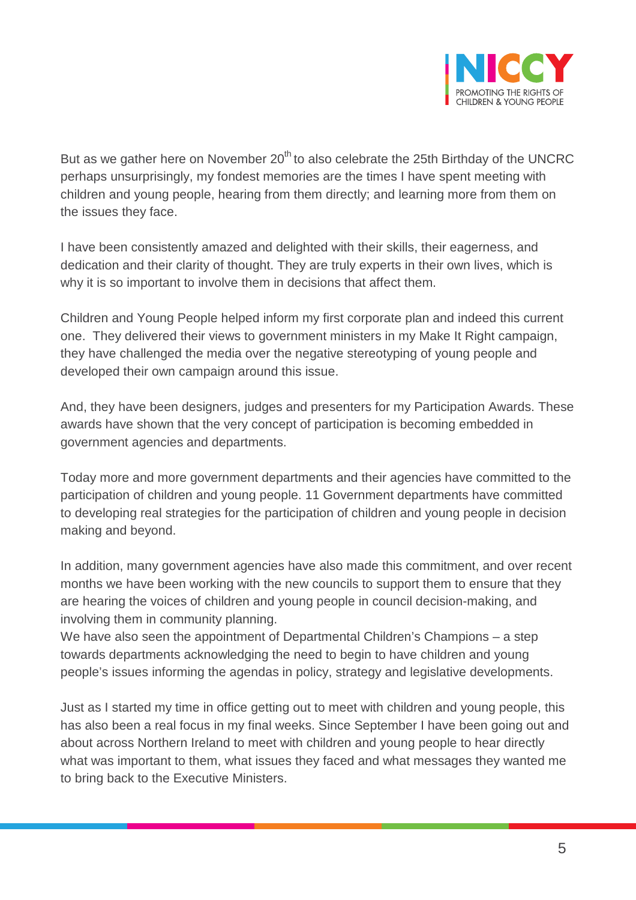

But as we gather here on November  $20<sup>th</sup>$  to also celebrate the 25th Birthday of the UNCRC perhaps unsurprisingly, my fondest memories are the times I have spent meeting with children and young people, hearing from them directly; and learning more from them on the issues they face.

I have been consistently amazed and delighted with their skills, their eagerness, and dedication and their clarity of thought. They are truly experts in their own lives, which is why it is so important to involve them in decisions that affect them.

Children and Young People helped inform my first corporate plan and indeed this current one. They delivered their views to government ministers in my Make It Right campaign, they have challenged the media over the negative stereotyping of young people and developed their own campaign around this issue.

And, they have been designers, judges and presenters for my Participation Awards. These awards have shown that the very concept of participation is becoming embedded in government agencies and departments.

Today more and more government departments and their agencies have committed to the participation of children and young people. 11 Government departments have committed to developing real strategies for the participation of children and young people in decision making and beyond.

In addition, many government agencies have also made this commitment, and over recent months we have been working with the new councils to support them to ensure that they are hearing the voices of children and young people in council decision-making, and involving them in community planning.

We have also seen the appointment of Departmental Children's Champions – a step towards departments acknowledging the need to begin to have children and young people's issues informing the agendas in policy, strategy and legislative developments.

Just as I started my time in office getting out to meet with children and young people, this has also been a real focus in my final weeks. Since September I have been going out and about across Northern Ireland to meet with children and young people to hear directly what was important to them, what issues they faced and what messages they wanted me to bring back to the Executive Ministers.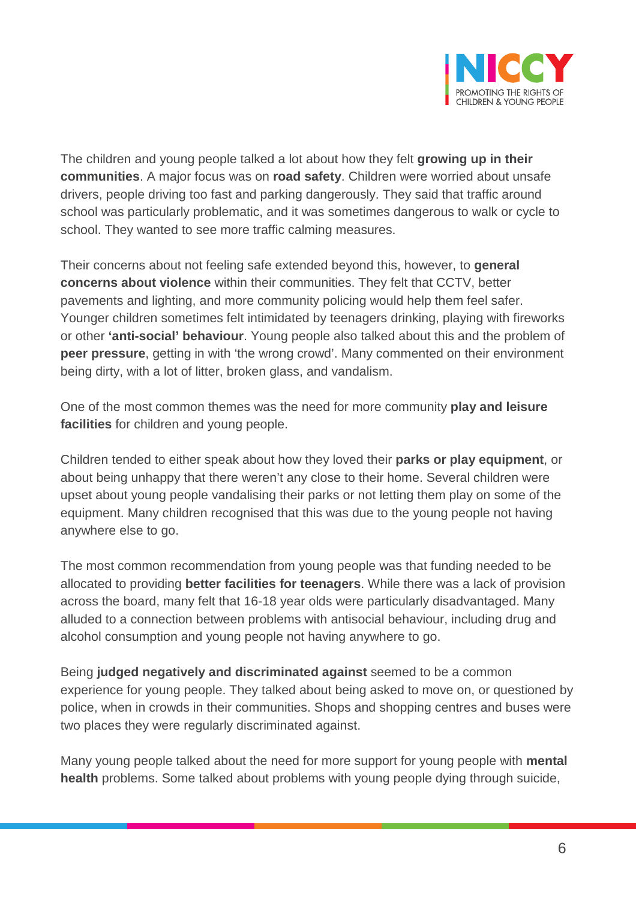

The children and young people talked a lot about how they felt **growing up in their communities**. A major focus was on **road safety**. Children were worried about unsafe drivers, people driving too fast and parking dangerously. They said that traffic around school was particularly problematic, and it was sometimes dangerous to walk or cycle to school. They wanted to see more traffic calming measures.

Their concerns about not feeling safe extended beyond this, however, to **general concerns about violence** within their communities. They felt that CCTV, better pavements and lighting, and more community policing would help them feel safer. Younger children sometimes felt intimidated by teenagers drinking, playing with fireworks or other **'anti-social' behaviour**. Young people also talked about this and the problem of **peer pressure**, getting in with 'the wrong crowd'. Many commented on their environment being dirty, with a lot of litter, broken glass, and vandalism.

One of the most common themes was the need for more community **play and leisure facilities** for children and young people.

Children tended to either speak about how they loved their **parks or play equipment**, or about being unhappy that there weren't any close to their home. Several children were upset about young people vandalising their parks or not letting them play on some of the equipment. Many children recognised that this was due to the young people not having anywhere else to go.

The most common recommendation from young people was that funding needed to be allocated to providing **better facilities for teenagers**. While there was a lack of provision across the board, many felt that 16-18 year olds were particularly disadvantaged. Many alluded to a connection between problems with antisocial behaviour, including drug and alcohol consumption and young people not having anywhere to go.

Being **judged negatively and discriminated against** seemed to be a common experience for young people. They talked about being asked to move on, or questioned by police, when in crowds in their communities. Shops and shopping centres and buses were two places they were regularly discriminated against.

Many young people talked about the need for more support for young people with **mental health** problems. Some talked about problems with young people dying through suicide,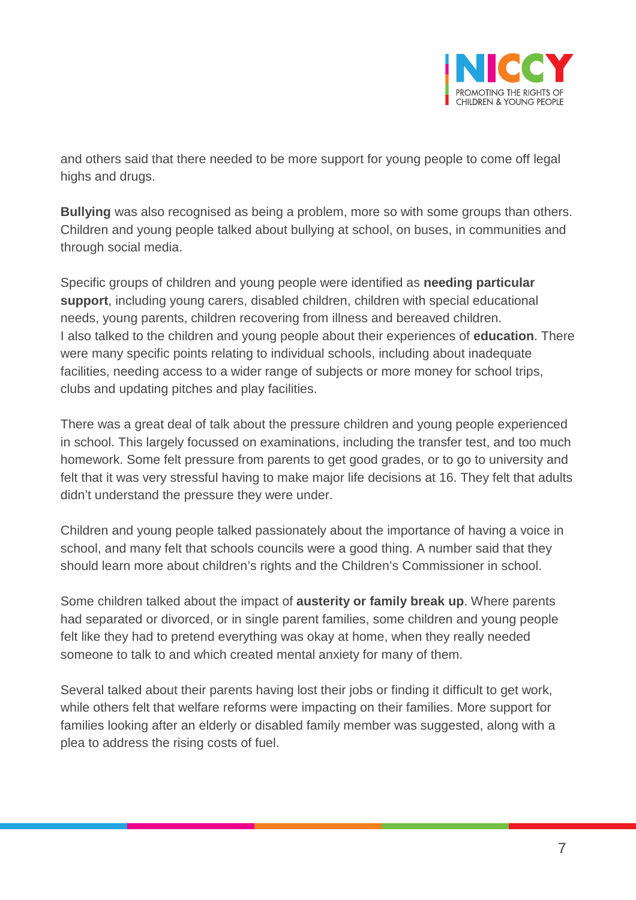

and others said that there needed to be more support for young people to come off legal highs and drugs.

**Bullying** was also recognised as being a problem, more so with some groups than others. Children and young people talked about bullying at school, on buses, in communities and through social media.

Specific groups of children and young people were identified as **needing particular support**, including young carers, disabled children, children with special educational needs, young parents, children recovering from illness and bereaved children. I also talked to the children and young people about their experiences of **education**. There were many specific points relating to individual schools, including about inadequate facilities, needing access to a wider range of subjects or more money for school trips, clubs and updating pitches and play facilities.

There was a great deal of talk about the pressure children and young people experienced in school. This largely focussed on examinations, including the transfer test, and too much homework. Some felt pressure from parents to get good grades, or to go to university and felt that it was very stressful having to make major life decisions at 16. They felt that adults didn't understand the pressure they were under.

Children and young people talked passionately about the importance of having a voice in school, and many felt that schools councils were a good thing. A number said that they should learn more about children's rights and the Children's Commissioner in school.

Some children talked about the impact of **austerity or family break up**. Where parents had separated or divorced, or in single parent families, some children and young people felt like they had to pretend everything was okay at home, when they really needed someone to talk to and which created mental anxiety for many of them.

Several talked about their parents having lost their jobs or finding it difficult to get work, while others felt that welfare reforms were impacting on their families. More support for families looking after an elderly or disabled family member was suggested, along with a plea to address the rising costs of fuel.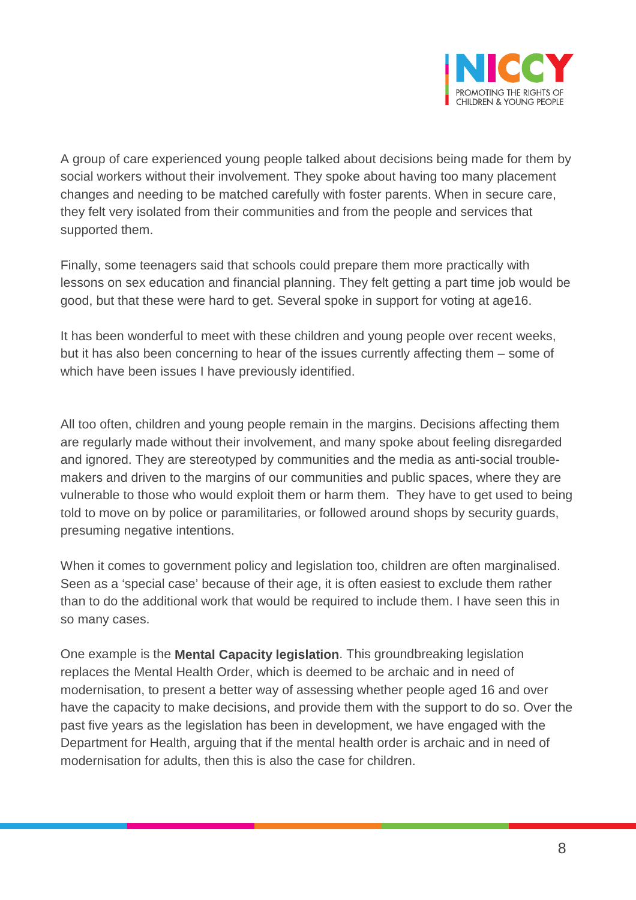

A group of care experienced young people talked about decisions being made for them by social workers without their involvement. They spoke about having too many placement changes and needing to be matched carefully with foster parents. When in secure care, they felt very isolated from their communities and from the people and services that supported them.

Finally, some teenagers said that schools could prepare them more practically with lessons on sex education and financial planning. They felt getting a part time job would be good, but that these were hard to get. Several spoke in support for voting at age16.

It has been wonderful to meet with these children and young people over recent weeks, but it has also been concerning to hear of the issues currently affecting them – some of which have been issues I have previously identified.

All too often, children and young people remain in the margins. Decisions affecting them are regularly made without their involvement, and many spoke about feeling disregarded and ignored. They are stereotyped by communities and the media as anti-social troublemakers and driven to the margins of our communities and public spaces, where they are vulnerable to those who would exploit them or harm them. They have to get used to being told to move on by police or paramilitaries, or followed around shops by security guards, presuming negative intentions.

When it comes to government policy and legislation too, children are often marginalised. Seen as a 'special case' because of their age, it is often easiest to exclude them rather than to do the additional work that would be required to include them. I have seen this in so many cases.

One example is the **Mental Capacity legislation**. This groundbreaking legislation replaces the Mental Health Order, which is deemed to be archaic and in need of modernisation, to present a better way of assessing whether people aged 16 and over have the capacity to make decisions, and provide them with the support to do so. Over the past five years as the legislation has been in development, we have engaged with the Department for Health, arguing that if the mental health order is archaic and in need of modernisation for adults, then this is also the case for children.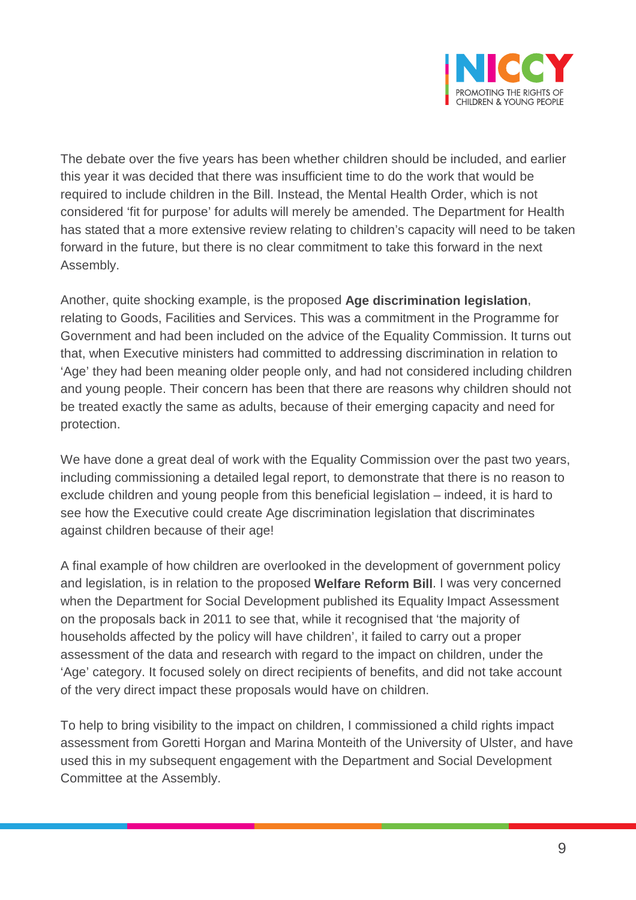

The debate over the five years has been whether children should be included, and earlier this year it was decided that there was insufficient time to do the work that would be required to include children in the Bill. Instead, the Mental Health Order, which is not considered 'fit for purpose' for adults will merely be amended. The Department for Health has stated that a more extensive review relating to children's capacity will need to be taken forward in the future, but there is no clear commitment to take this forward in the next Assembly.

Another, quite shocking example, is the proposed **Age discrimination legislation**, relating to Goods, Facilities and Services. This was a commitment in the Programme for Government and had been included on the advice of the Equality Commission. It turns out that, when Executive ministers had committed to addressing discrimination in relation to 'Age' they had been meaning older people only, and had not considered including children and young people. Their concern has been that there are reasons why children should not be treated exactly the same as adults, because of their emerging capacity and need for protection.

We have done a great deal of work with the Equality Commission over the past two years, including commissioning a detailed legal report, to demonstrate that there is no reason to exclude children and young people from this beneficial legislation – indeed, it is hard to see how the Executive could create Age discrimination legislation that discriminates against children because of their age!

A final example of how children are overlooked in the development of government policy and legislation, is in relation to the proposed **Welfare Reform Bill**. I was very concerned when the Department for Social Development published its Equality Impact Assessment on the proposals back in 2011 to see that, while it recognised that 'the majority of households affected by the policy will have children', it failed to carry out a proper assessment of the data and research with regard to the impact on children, under the 'Age' category. It focused solely on direct recipients of benefits, and did not take account of the very direct impact these proposals would have on children.

To help to bring visibility to the impact on children, I commissioned a child rights impact assessment from Goretti Horgan and Marina Monteith of the University of Ulster, and have used this in my subsequent engagement with the Department and Social Development Committee at the Assembly.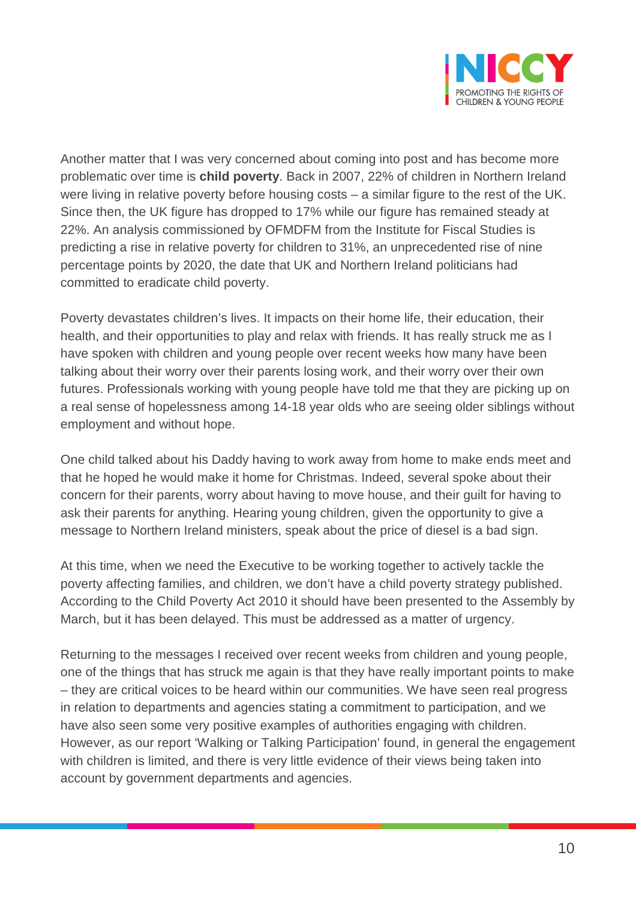

Another matter that I was very concerned about coming into post and has become more problematic over time is **child poverty**. Back in 2007, 22% of children in Northern Ireland were living in relative poverty before housing costs – a similar figure to the rest of the UK. Since then, the UK figure has dropped to 17% while our figure has remained steady at 22%. An analysis commissioned by OFMDFM from the Institute for Fiscal Studies is predicting a rise in relative poverty for children to 31%, an unprecedented rise of nine percentage points by 2020, the date that UK and Northern Ireland politicians had committed to eradicate child poverty.

Poverty devastates children's lives. It impacts on their home life, their education, their health, and their opportunities to play and relax with friends. It has really struck me as I have spoken with children and young people over recent weeks how many have been talking about their worry over their parents losing work, and their worry over their own futures. Professionals working with young people have told me that they are picking up on a real sense of hopelessness among 14-18 year olds who are seeing older siblings without employment and without hope.

One child talked about his Daddy having to work away from home to make ends meet and that he hoped he would make it home for Christmas. Indeed, several spoke about their concern for their parents, worry about having to move house, and their guilt for having to ask their parents for anything. Hearing young children, given the opportunity to give a message to Northern Ireland ministers, speak about the price of diesel is a bad sign.

At this time, when we need the Executive to be working together to actively tackle the poverty affecting families, and children, we don't have a child poverty strategy published. According to the Child Poverty Act 2010 it should have been presented to the Assembly by March, but it has been delayed. This must be addressed as a matter of urgency.

Returning to the messages I received over recent weeks from children and young people, one of the things that has struck me again is that they have really important points to make – they are critical voices to be heard within our communities. We have seen real progress in relation to departments and agencies stating a commitment to participation, and we have also seen some very positive examples of authorities engaging with children. However, as our report 'Walking or Talking Participation' found, in general the engagement with children is limited, and there is very little evidence of their views being taken into account by government departments and agencies.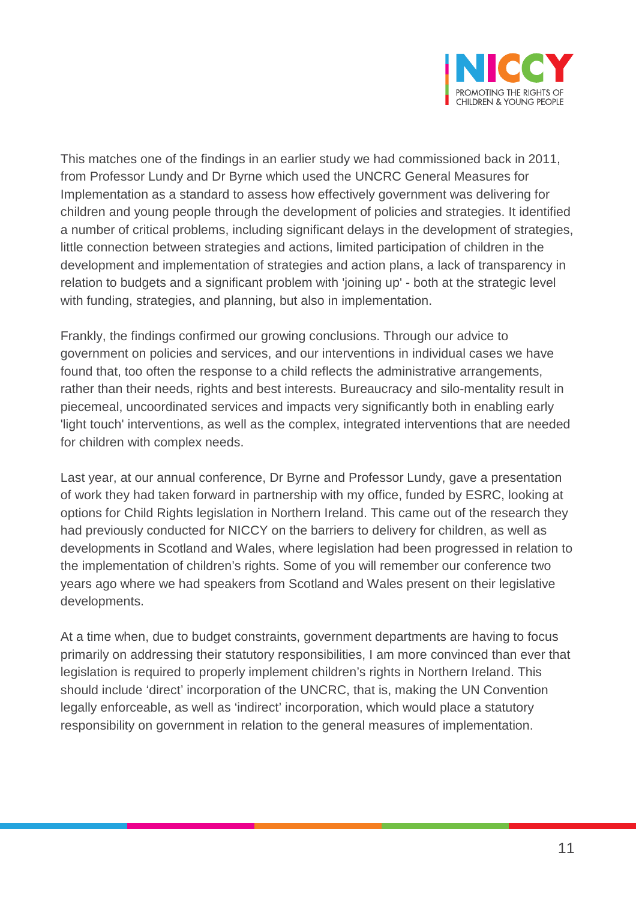

This matches one of the findings in an earlier study we had commissioned back in 2011, from Professor Lundy and Dr Byrne which used the UNCRC General Measures for Implementation as a standard to assess how effectively government was delivering for children and young people through the development of policies and strategies. It identified a number of critical problems, including significant delays in the development of strategies, little connection between strategies and actions, limited participation of children in the development and implementation of strategies and action plans, a lack of transparency in relation to budgets and a significant problem with 'joining up' - both at the strategic level with funding, strategies, and planning, but also in implementation.

Frankly, the findings confirmed our growing conclusions. Through our advice to government on policies and services, and our interventions in individual cases we have found that, too often the response to a child reflects the administrative arrangements, rather than their needs, rights and best interests. Bureaucracy and silo-mentality result in piecemeal, uncoordinated services and impacts very significantly both in enabling early 'light touch' interventions, as well as the complex, integrated interventions that are needed for children with complex needs.

Last year, at our annual conference, Dr Byrne and Professor Lundy, gave a presentation of work they had taken forward in partnership with my office, funded by ESRC, looking at options for Child Rights legislation in Northern Ireland. This came out of the research they had previously conducted for NICCY on the barriers to delivery for children, as well as developments in Scotland and Wales, where legislation had been progressed in relation to the implementation of children's rights. Some of you will remember our conference two years ago where we had speakers from Scotland and Wales present on their legislative developments.

At a time when, due to budget constraints, government departments are having to focus primarily on addressing their statutory responsibilities, I am more convinced than ever that legislation is required to properly implement children's rights in Northern Ireland. This should include 'direct' incorporation of the UNCRC, that is, making the UN Convention legally enforceable, as well as 'indirect' incorporation, which would place a statutory responsibility on government in relation to the general measures of implementation.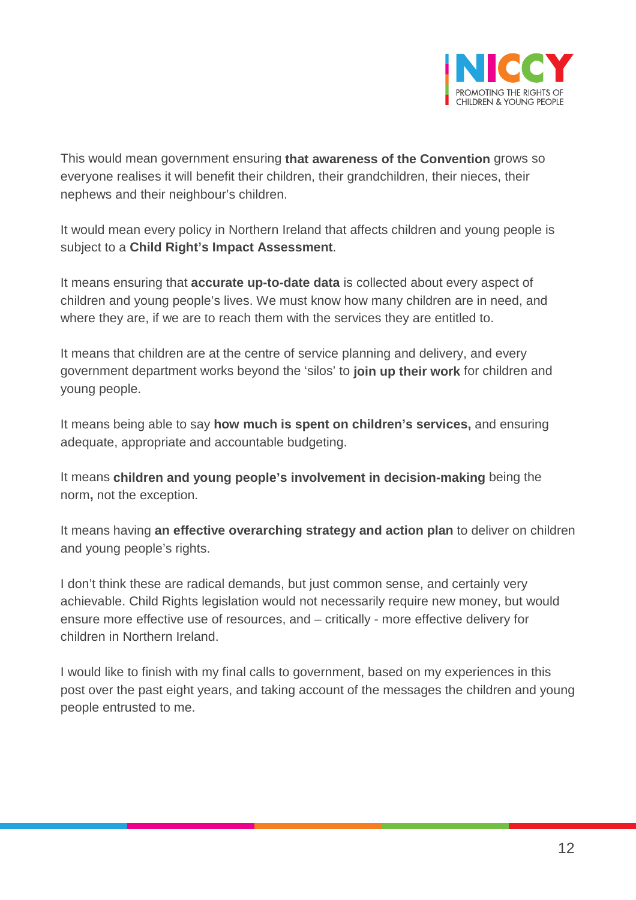

This would mean government ensuring **that awareness of the Convention** grows so everyone realises it will benefit their children, their grandchildren, their nieces, their nephews and their neighbour's children.

It would mean every policy in Northern Ireland that affects children and young people is subject to a **Child Right's Impact Assessment**.

It means ensuring that **accurate up-to-date data** is collected about every aspect of children and young people's lives. We must know how many children are in need, and where they are, if we are to reach them with the services they are entitled to.

It means that children are at the centre of service planning and delivery, and every government department works beyond the 'silos' to **join up their work** for children and young people.

It means being able to say **how much is spent on children's services,** and ensuring adequate, appropriate and accountable budgeting.

It means **children and young people's involvement in decision-making** being the norm**,** not the exception.

It means having **an effective overarching strategy and action plan** to deliver on children and young people's rights.

I don't think these are radical demands, but just common sense, and certainly very achievable. Child Rights legislation would not necessarily require new money, but would ensure more effective use of resources, and – critically - more effective delivery for children in Northern Ireland.

I would like to finish with my final calls to government, based on my experiences in this post over the past eight years, and taking account of the messages the children and young people entrusted to me.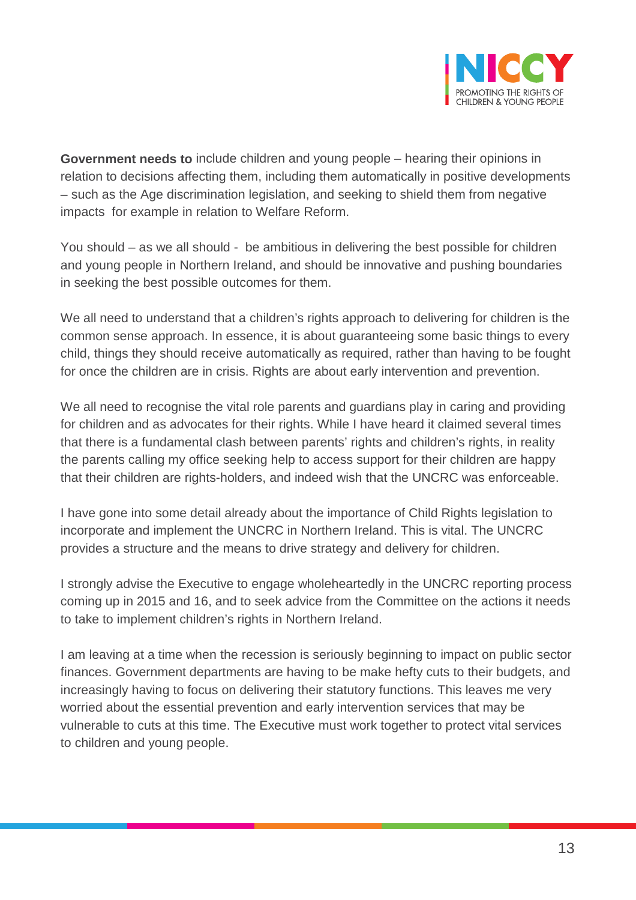

**Government needs to** include children and young people – hearing their opinions in relation to decisions affecting them, including them automatically in positive developments – such as the Age discrimination legislation, and seeking to shield them from negative impacts for example in relation to Welfare Reform.

You should – as we all should - be ambitious in delivering the best possible for children and young people in Northern Ireland, and should be innovative and pushing boundaries in seeking the best possible outcomes for them.

We all need to understand that a children's rights approach to delivering for children is the common sense approach. In essence, it is about guaranteeing some basic things to every child, things they should receive automatically as required, rather than having to be fought for once the children are in crisis. Rights are about early intervention and prevention.

We all need to recognise the vital role parents and guardians play in caring and providing for children and as advocates for their rights. While I have heard it claimed several times that there is a fundamental clash between parents' rights and children's rights, in reality the parents calling my office seeking help to access support for their children are happy that their children are rights-holders, and indeed wish that the UNCRC was enforceable.

I have gone into some detail already about the importance of Child Rights legislation to incorporate and implement the UNCRC in Northern Ireland. This is vital. The UNCRC provides a structure and the means to drive strategy and delivery for children.

I strongly advise the Executive to engage wholeheartedly in the UNCRC reporting process coming up in 2015 and 16, and to seek advice from the Committee on the actions it needs to take to implement children's rights in Northern Ireland.

I am leaving at a time when the recession is seriously beginning to impact on public sector finances. Government departments are having to be make hefty cuts to their budgets, and increasingly having to focus on delivering their statutory functions. This leaves me very worried about the essential prevention and early intervention services that may be vulnerable to cuts at this time. The Executive must work together to protect vital services to children and young people.